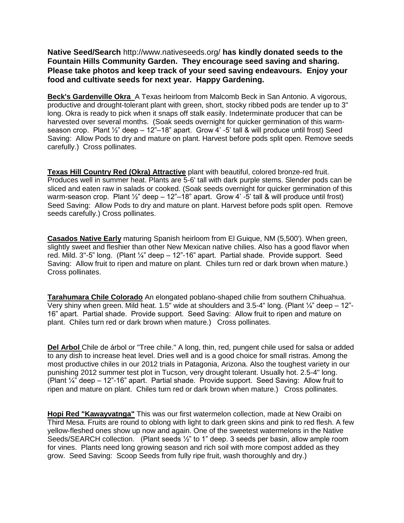**Native Seed/Search** http://www.nativeseeds.org/ **has kindly donated seeds to the Fountain Hills Community Garden. They encourage seed saving and sharing. Please take photos and keep track of your seed saving endeavours. Enjoy your food and cultivate seeds for next year. Happy Gardening.** 

**Beck's Gardenville Okra** A Texas heirloom from Malcomb Beck in San Antonio. A vigorous, productive and drought-tolerant plant with green, short, stocky ribbed pods are tender up to 3" long. Okra is ready to pick when it snaps off stalk easily. Indeterminate producer that can be harvested over several months. (Soak seeds overnight for quicker germination of this warmseason crop. Plant  $\frac{1}{2}$ " deep  $-12$ "-18" apart. Grow  $\frac{1}{4}$  -5' tall & will produce until frost) Seed Saving: Allow Pods to dry and mature on plant. Harvest before pods split open. Remove seeds carefully.) Cross pollinates.

**Texas Hill Country Red (Okra) Attractive** plant with beautiful, colored bronze-red fruit. Produces well in summer heat. Plants are 5-6' tall with dark purple stems. Slender pods can be sliced and eaten raw in salads or cooked. (Soak seeds overnight for quicker germination of this warm-season crop. Plant 1/2" deep - 12"-18" apart. Grow 4' -5' tall & will produce until frost) Seed Saving: Allow Pods to dry and mature on plant. Harvest before pods split open. Remove seeds carefully.) Cross pollinates.

**Casados Native Early** maturing Spanish heirloom from El Guique, NM (5,500'). When green, slightly sweet and fleshier than other New Mexican native chilies. Also has a good flavor when red. Mild. 3"-5" long. (Plant ¼" deep – 12"-16" apart. Partial shade. Provide support. Seed Saving: Allow fruit to ripen and mature on plant. Chiles turn red or dark brown when mature.) Cross pollinates.

**Tarahumara Chile Colorado** An elongated poblano-shaped chilie from southern Chihuahua. Very shiny when green. Mild heat. 1.5" wide at shoulders and 3.5-4" long. (Plant ¼" deep – 12"- 16" apart. Partial shade. Provide support. Seed Saving: Allow fruit to ripen and mature on plant. Chiles turn red or dark brown when mature.) Cross pollinates.

Del Arbol Chile de árbol or "Tree chile." A long, thin, red, pungent chile used for salsa or added to any dish to increase heat level. Dries well and is a good choice for small ristras. Among the most productive chiles in our 2012 trials in Patagonia, Arizona. Also the toughest variety in our punishing 2012 summer test plot in Tucson, very drought tolerant. Usually hot. 2.5-4" long. (Plant ¼" deep – 12"-16" apart. Partial shade. Provide support. Seed Saving: Allow fruit to ripen and mature on plant. Chiles turn red or dark brown when mature.) Cross pollinates.

**Hopi Red "Kawayvatnga"** This was our first watermelon collection, made at New Oraibi on Third Mesa. Fruits are round to oblong with light to dark green skins and pink to red flesh. A few yellow-fleshed ones show up now and again. One of the sweetest watermelons in the Native Seeds/SEARCH collection. (Plant seeds ½" to 1" deep. 3 seeds per basin, allow ample room for vines. Plants need long growing season and rich soil with more compost added as they grow. Seed Saving: Scoop Seeds from fully ripe fruit, wash thoroughly and dry.)